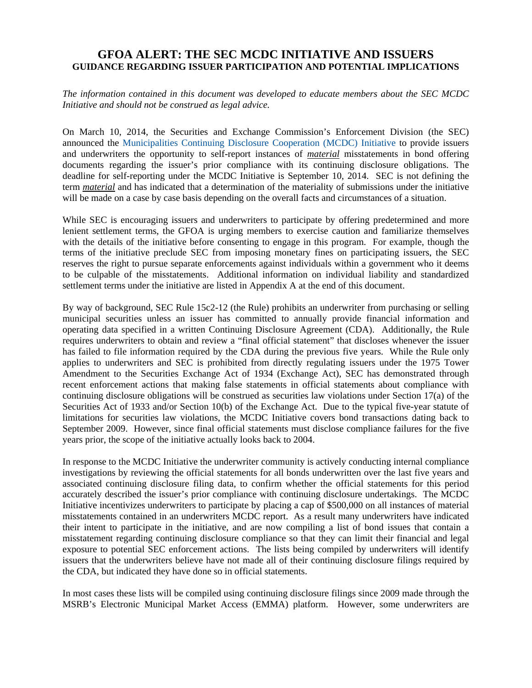# **GFOA ALERT: THE SEC MCDC INITIATIVE AND ISSUERS GUIDANCE REGARDING ISSUER PARTICIPATION AND POTENTIAL IMPLICATIONS**

*The information contained in this document was developed to educate members about the SEC MCDC Initiative and should not be construed as legal advice.* 

On March 10, 2014, the Securities and Exchange Commission's Enforcement Division (the SEC) announced the Municipalities Continuing Disclosure Cooperation (MCDC) Initiative to provide issuers and underwriters the opportunity to self-report instances of *material* misstatements in bond offering documents regarding the issuer's prior compliance with its continuing disclosure obligations. The deadline for self-reporting under the MCDC Initiative is September 10, 2014. SEC is not defining the term *material* and has indicated that a determination of the materiality of submissions under the initiative will be made on a case by case basis depending on the overall facts and circumstances of a situation.

While SEC is encouraging issuers and underwriters to participate by offering predetermined and more lenient settlement terms, the GFOA is urging members to exercise caution and familiarize themselves with the details of the initiative before consenting to engage in this program. For example, though the terms of the initiative preclude SEC from imposing monetary fines on participating issuers, the SEC reserves the right to pursue separate enforcements against individuals within a government who it deems to be culpable of the misstatements. Additional information on individual liability and standardized settlement terms under the initiative are listed in Appendix A at the end of this document.

By way of background, SEC Rule 15c2-12 (the Rule) prohibits an underwriter from purchasing or selling municipal securities unless an issuer has committed to annually provide financial information and operating data specified in a written Continuing Disclosure Agreement (CDA). Additionally, the Rule requires underwriters to obtain and review a "final official statement" that discloses whenever the issuer has failed to file information required by the CDA during the previous five years. While the Rule only applies to underwriters and SEC is prohibited from directly regulating issuers under the 1975 Tower Amendment to the Securities Exchange Act of 1934 (Exchange Act), SEC has demonstrated through recent enforcement actions that making false statements in official statements about compliance with continuing disclosure obligations will be construed as securities law violations under Section 17(a) of the Securities Act of 1933 and/or Section 10(b) of the Exchange Act. Due to the typical five-year statute of limitations for securities law violations, the MCDC Initiative covers bond transactions dating back to September 2009. However, since final official statements must disclose compliance failures for the five years prior, the scope of the initiative actually looks back to 2004.

In response to the MCDC Initiative the underwriter community is actively conducting internal compliance investigations by reviewing the official statements for all bonds underwritten over the last five years and associated continuing disclosure filing data, to confirm whether the official statements for this period accurately described the issuer's prior compliance with continuing disclosure undertakings. The MCDC Initiative incentivizes underwriters to participate by placing a cap of \$500,000 on all instances of material misstatements contained in an underwriters MCDC report. As a result many underwriters have indicated their intent to participate in the initiative, and are now compiling a list of bond issues that contain a misstatement regarding continuing disclosure compliance so that they can limit their financial and legal exposure to potential SEC enforcement actions. The lists being compiled by underwriters will identify issuers that the underwriters believe have not made all of their continuing disclosure filings required by the CDA, but indicated they have done so in official statements.

In most cases these lists will be compiled using continuing disclosure filings since 2009 made through the MSRB's Electronic Municipal Market Access (EMMA) platform. However, some underwriters are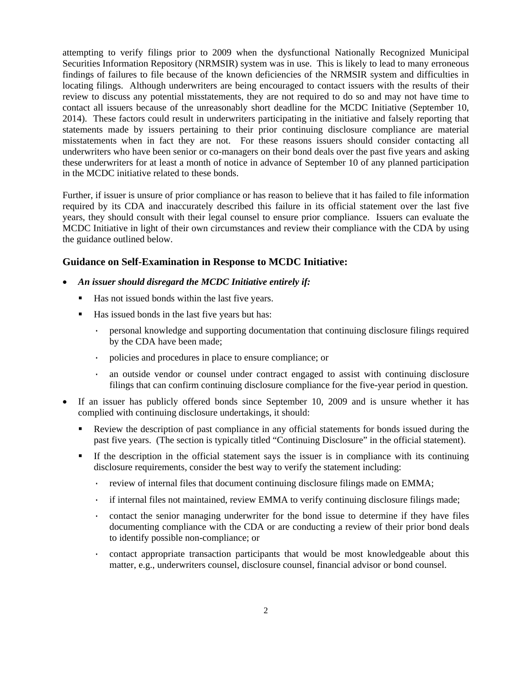attempting to verify filings prior to 2009 when the dysfunctional Nationally Recognized Municipal Securities Information Repository (NRMSIR) system was in use. This is likely to lead to many erroneous findings of failures to file because of the known deficiencies of the NRMSIR system and difficulties in locating filings. Although underwriters are being encouraged to contact issuers with the results of their review to discuss any potential misstatements, they are not required to do so and may not have time to contact all issuers because of the unreasonably short deadline for the MCDC Initiative (September 10, 2014). These factors could result in underwriters participating in the initiative and falsely reporting that statements made by issuers pertaining to their prior continuing disclosure compliance are material misstatements when in fact they are not. For these reasons issuers should consider contacting all underwriters who have been senior or co-managers on their bond deals over the past five years and asking these underwriters for at least a month of notice in advance of September 10 of any planned participation in the MCDC initiative related to these bonds.

Further, if issuer is unsure of prior compliance or has reason to believe that it has failed to file information required by its CDA and inaccurately described this failure in its official statement over the last five years, they should consult with their legal counsel to ensure prior compliance. Issuers can evaluate the MCDC Initiative in light of their own circumstances and review their compliance with the CDA by using the guidance outlined below.

### **Guidance on Self-Examination in Response to MCDC Initiative:**

- *An issuer should disregard the MCDC Initiative entirely if:* 
	- Has not issued bonds within the last five years.
	- Has issued bonds in the last five years but has:
		- · personal knowledge and supporting documentation that continuing disclosure filings required by the CDA have been made;
		- · policies and procedures in place to ensure compliance; or
		- · an outside vendor or counsel under contract engaged to assist with continuing disclosure filings that can confirm continuing disclosure compliance for the five-year period in question.
- If an issuer has publicly offered bonds since September 10, 2009 and is unsure whether it has complied with continuing disclosure undertakings, it should:
	- Review the description of past compliance in any official statements for bonds issued during the past five years. (The section is typically titled "Continuing Disclosure" in the official statement).
	- If the description in the official statement says the issuer is in compliance with its continuing disclosure requirements, consider the best way to verify the statement including:
		- · review of internal files that document continuing disclosure filings made on EMMA;
		- · if internal files not maintained, review EMMA to verify continuing disclosure filings made;
		- · contact the senior managing underwriter for the bond issue to determine if they have files documenting compliance with the CDA or are conducting a review of their prior bond deals to identify possible non-compliance; or
		- · contact appropriate transaction participants that would be most knowledgeable about this matter, e.g., underwriters counsel, disclosure counsel, financial advisor or bond counsel.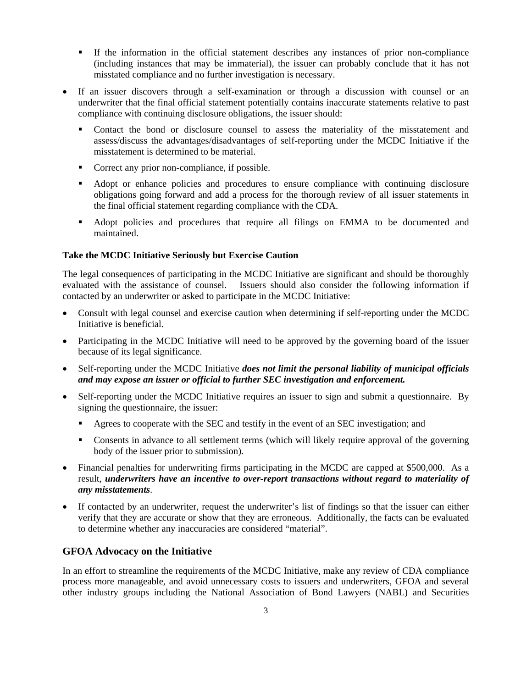- If the information in the official statement describes any instances of prior non-compliance (including instances that may be immaterial), the issuer can probably conclude that it has not misstated compliance and no further investigation is necessary.
- If an issuer discovers through a self-examination or through a discussion with counsel or an underwriter that the final official statement potentially contains inaccurate statements relative to past compliance with continuing disclosure obligations, the issuer should:
	- Contact the bond or disclosure counsel to assess the materiality of the misstatement and assess/discuss the advantages/disadvantages of self-reporting under the MCDC Initiative if the misstatement is determined to be material.
	- Correct any prior non-compliance, if possible.
	- Adopt or enhance policies and procedures to ensure compliance with continuing disclosure obligations going forward and add a process for the thorough review of all issuer statements in the final official statement regarding compliance with the CDA.
	- Adopt policies and procedures that require all filings on EMMA to be documented and maintained.

### **Take the MCDC Initiative Seriously but Exercise Caution**

The legal consequences of participating in the MCDC Initiative are significant and should be thoroughly evaluated with the assistance of counsel. Issuers should also consider the following information if contacted by an underwriter or asked to participate in the MCDC Initiative:

- Consult with legal counsel and exercise caution when determining if self-reporting under the MCDC Initiative is beneficial.
- Participating in the MCDC Initiative will need to be approved by the governing board of the issuer because of its legal significance.
- Self-reporting under the MCDC Initiative *does not limit the personal liability of municipal officials and may expose an issuer or official to further SEC investigation and enforcement.*
- Self-reporting under the MCDC Initiative requires an issuer to sign and submit a questionnaire. By signing the questionnaire, the issuer:
	- Agrees to cooperate with the SEC and testify in the event of an SEC investigation; and
	- Consents in advance to all settlement terms (which will likely require approval of the governing body of the issuer prior to submission).
- Financial penalties for underwriting firms participating in the MCDC are capped at \$500,000. As a result, *underwriters have an incentive to over-report transactions without regard to materiality of any misstatements*.
- If contacted by an underwriter, request the underwriter's list of findings so that the issuer can either verify that they are accurate or show that they are erroneous. Additionally, the facts can be evaluated to determine whether any inaccuracies are considered "material".

### **GFOA Advocacy on the Initiative**

In an effort to streamline the requirements of the MCDC Initiative, make any review of CDA compliance process more manageable, and avoid unnecessary costs to issuers and underwriters, GFOA and several other industry groups including the National Association of Bond Lawyers (NABL) and Securities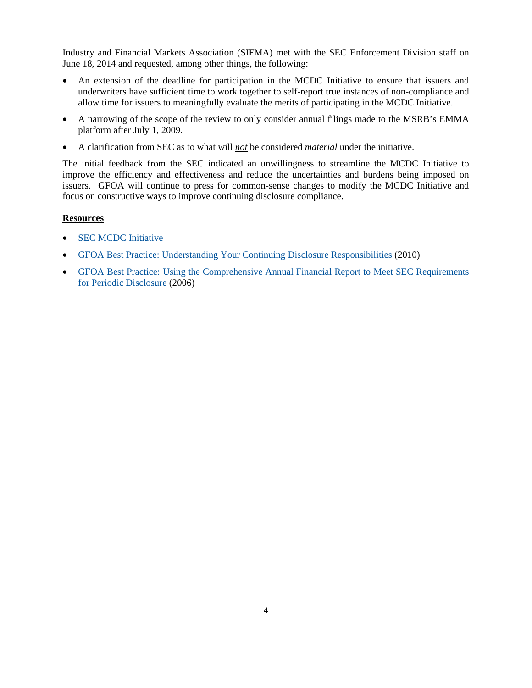Industry and Financial Markets Association (SIFMA) met with the SEC Enforcement Division staff on June 18, 2014 and requested, among other things, the following:

- An extension of the deadline for participation in the MCDC Initiative to ensure that issuers and underwriters have sufficient time to work together to self-report true instances of non-compliance and allow time for issuers to meaningfully evaluate the merits of participating in the MCDC Initiative.
- A narrowing of the scope of the review to only consider annual filings made to the MSRB's EMMA platform after July 1, 2009.
- A clarification from SEC as to what will *not* be considered *material* under the initiative.

The initial feedback from the SEC indicated an unwillingness to streamline the MCDC Initiative to improve the efficiency and effectiveness and reduce the uncertainties and burdens being imposed on issuers. GFOA will continue to press for common-sense changes to modify the MCDC Initiative and focus on constructive ways to improve continuing disclosure compliance.

#### **Resources**

- SEC MCDC Initiative
- GFOA Best Practice: Understanding Your Continuing Disclosure Responsibilities (2010)
- GFOA Best Practice: Using the Comprehensive Annual Financial Report to Meet SEC Requirements for Periodic Disclosure (2006)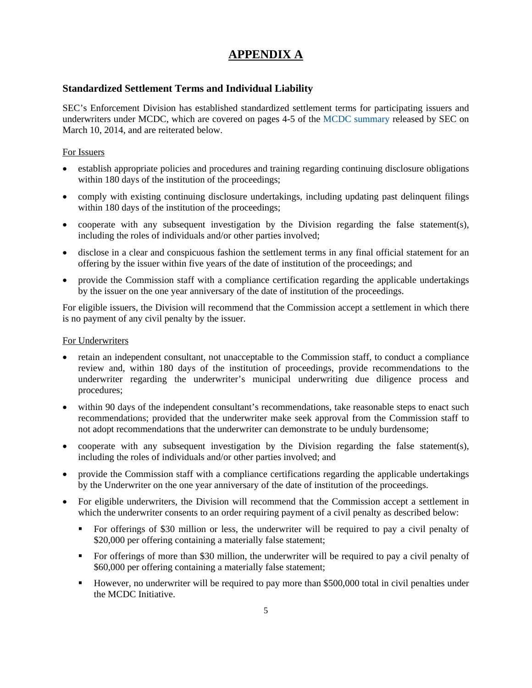# **APPENDIX A**

## **Standardized Settlement Terms and Individual Liability**

SEC's Enforcement Division has established standardized settlement terms for participating issuers and underwriters under MCDC, which are covered on pages 4-5 of the MCDC summary released by SEC on March 10, 2014, and are reiterated below.

### For Issuers

- establish appropriate policies and procedures and training regarding continuing disclosure obligations within 180 days of the institution of the proceedings;
- comply with existing continuing disclosure undertakings, including updating past delinquent filings within 180 days of the institution of the proceedings;
- cooperate with any subsequent investigation by the Division regarding the false statement(s), including the roles of individuals and/or other parties involved;
- disclose in a clear and conspicuous fashion the settlement terms in any final official statement for an offering by the issuer within five years of the date of institution of the proceedings; and
- provide the Commission staff with a compliance certification regarding the applicable undertakings by the issuer on the one year anniversary of the date of institution of the proceedings.

For eligible issuers, the Division will recommend that the Commission accept a settlement in which there is no payment of any civil penalty by the issuer.

### For Underwriters

- retain an independent consultant, not unacceptable to the Commission staff, to conduct a compliance review and, within 180 days of the institution of proceedings, provide recommendations to the underwriter regarding the underwriter's municipal underwriting due diligence process and procedures;
- within 90 days of the independent consultant's recommendations, take reasonable steps to enact such recommendations; provided that the underwriter make seek approval from the Commission staff to not adopt recommendations that the underwriter can demonstrate to be unduly burdensome;
- cooperate with any subsequent investigation by the Division regarding the false statement(s), including the roles of individuals and/or other parties involved; and
- provide the Commission staff with a compliance certifications regarding the applicable undertakings by the Underwriter on the one year anniversary of the date of institution of the proceedings.
- For eligible underwriters, the Division will recommend that the Commission accept a settlement in which the underwriter consents to an order requiring payment of a civil penalty as described below:
	- For offerings of \$30 million or less, the underwriter will be required to pay a civil penalty of \$20,000 per offering containing a materially false statement;
	- For offerings of more than \$30 million, the underwriter will be required to pay a civil penalty of \$60,000 per offering containing a materially false statement;
	- However, no underwriter will be required to pay more than \$500,000 total in civil penalties under the MCDC Initiative.